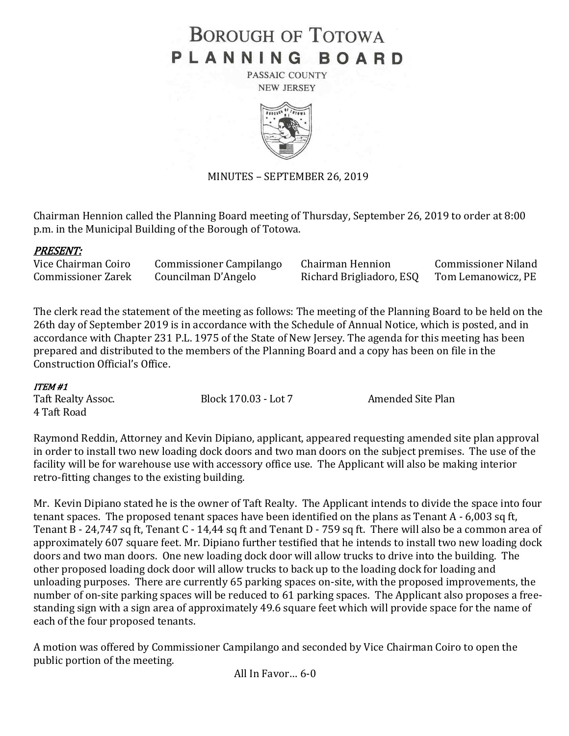# **BOROUGH OF TOTOWA** PLANNING BOARD

PASSAIC COUNTY **NEW JERSEY** 



# MINUTES – SEPTEMBER 26, 2019

Chairman Hennion called the Planning Board meeting of Thursday, September 26, 2019 to order at 8:00 p.m. in the Municipal Building of the Borough of Totowa.

# PRESENT:

| Vice Chairman Coiro       | <b>Commissioner Campilango</b> | Chairman Hennion         | <b>Commissioner Niland</b> |
|---------------------------|--------------------------------|--------------------------|----------------------------|
| <b>Commissioner Zarek</b> | Councilman D'Angelo            | Richard Brigliadoro, ESQ | Tom Lemanowicz, PE         |

The clerk read the statement of the meeting as follows: The meeting of the Planning Board to be held on the 26th day of September 2019 is in accordance with the Schedule of Annual Notice, which is posted, and in accordance with Chapter 231 P.L. 1975 of the State of New Jersey. The agenda for this meeting has been prepared and distributed to the members of the Planning Board and a copy has been on file in the Construction Official's Office.

#### ITEM #1

| Taft Realty Assoc. | Block 170.03 - Lot 7 | Amended Site Plan |
|--------------------|----------------------|-------------------|
| 4 Taft Road        |                      |                   |

Raymond Reddin, Attorney and Kevin Dipiano, applicant, appeared requesting amended site plan approval in order to install two new loading dock doors and two man doors on the subject premises. The use of the facility will be for warehouse use with accessory office use. The Applicant will also be making interior retro-fitting changes to the existing building.

Mr. Kevin Dipiano stated he is the owner of Taft Realty. The Applicant intends to divide the space into four tenant spaces. The proposed tenant spaces have been identified on the plans as Tenant A - 6,003 sq ft, Tenant B - 24,747 sq ft, Tenant C - 14,44 sq ft and Tenant D - 759 sq ft. There will also be a common area of approximately 607 square feet. Mr. Dipiano further testified that he intends to install two new loading dock doors and two man doors. One new loading dock door will allow trucks to drive into the building. The other proposed loading dock door will allow trucks to back up to the loading dock for loading and unloading purposes. There are currently 65 parking spaces on-site, with the proposed improvements, the number of on-site parking spaces will be reduced to 61 parking spaces. The Applicant also proposes a freestanding sign with a sign area of approximately 49.6 square feet which will provide space for the name of each of the four proposed tenants.

A motion was offered by Commissioner Campilango and seconded by Vice Chairman Coiro to open the public portion of the meeting.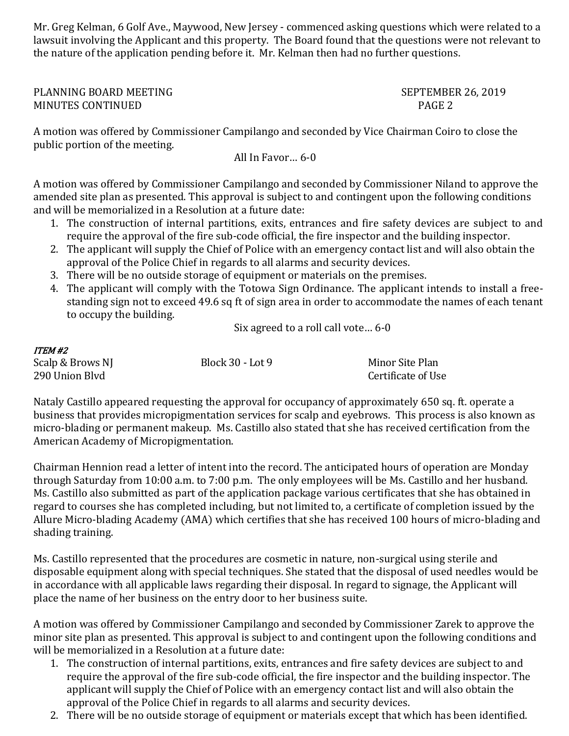Mr. Greg Kelman, 6 Golf Ave., Maywood, New Jersey - commenced asking questions which were related to a lawsuit involving the Applicant and this property. The Board found that the questions were not relevant to the nature of the application pending before it. Mr. Kelman then had no further questions.

PLANNING BOARD MEETING SEPTEMBER 26, 2019 MINUTES CONTINUED PAGE 2

A motion was offered by Commissioner Campilango and seconded by Vice Chairman Coiro to close the public portion of the meeting.

All In Favor… 6-0

A motion was offered by Commissioner Campilango and seconded by Commissioner Niland to approve the amended site plan as presented. This approval is subject to and contingent upon the following conditions and will be memorialized in a Resolution at a future date:

- 1. The construction of internal partitions, exits, entrances and fire safety devices are subject to and require the approval of the fire sub-code official, the fire inspector and the building inspector.
- 2. The applicant will supply the Chief of Police with an emergency contact list and will also obtain the approval of the Police Chief in regards to all alarms and security devices.
- 3. There will be no outside storage of equipment or materials on the premises.
- 4. The applicant will comply with the Totowa Sign Ordinance. The applicant intends to install a freestanding sign not to exceed 49.6 sq ft of sign area in order to accommodate the names of each tenant to occupy the building.

Six agreed to a roll call vote… 6-0

| ITEM #2          |                  |                    |
|------------------|------------------|--------------------|
| Scalp & Brows NJ | Block 30 - Lot 9 | Minor Site Plan    |
| 290 Union Blvd   |                  | Certificate of Use |

Nataly Castillo appeared requesting the approval for occupancy of approximately 650 sq. ft. operate a business that provides micropigmentation services for scalp and eyebrows. This process is also known as micro-blading or permanent makeup. Ms. Castillo also stated that she has received certification from the American Academy of Micropigmentation.

Chairman Hennion read a letter of intent into the record. The anticipated hours of operation are Monday through Saturday from 10:00 a.m. to 7:00 p.m. The only employees will be Ms. Castillo and her husband. Ms. Castillo also submitted as part of the application package various certificates that she has obtained in regard to courses she has completed including, but not limited to, a certificate of completion issued by the Allure Micro-blading Academy (AMA) which certifies that she has received 100 hours of micro-blading and shading training.

Ms. Castillo represented that the procedures are cosmetic in nature, non-surgical using sterile and disposable equipment along with special techniques. She stated that the disposal of used needles would be in accordance with all applicable laws regarding their disposal. In regard to signage, the Applicant will place the name of her business on the entry door to her business suite.

A motion was offered by Commissioner Campilango and seconded by Commissioner Zarek to approve the minor site plan as presented. This approval is subject to and contingent upon the following conditions and will be memorialized in a Resolution at a future date:

- 1. The construction of internal partitions, exits, entrances and fire safety devices are subject to and require the approval of the fire sub-code official, the fire inspector and the building inspector. The applicant will supply the Chief of Police with an emergency contact list and will also obtain the approval of the Police Chief in regards to all alarms and security devices.
- 2. There will be no outside storage of equipment or materials except that which has been identified.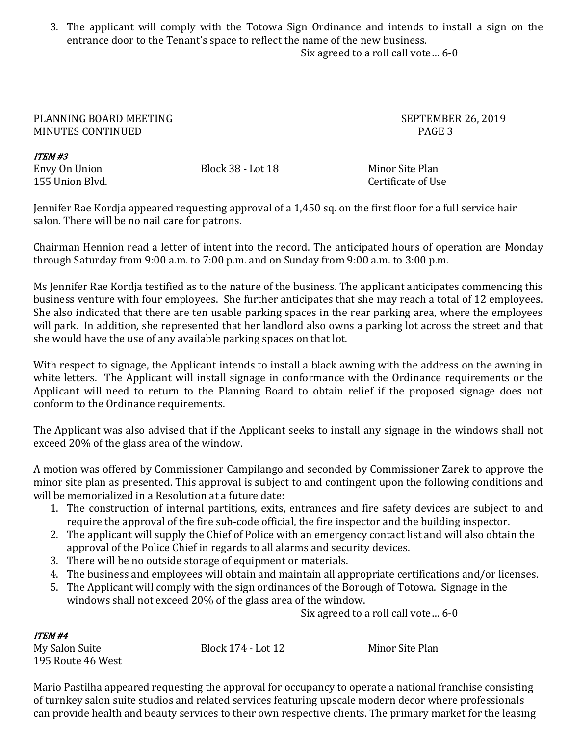3. The applicant will comply with the Totowa Sign Ordinance and intends to install a sign on the entrance door to the Tenant's space to reflect the name of the new business. Six agreed to a roll call vote… 6-0

### PLANNING BOARD MEETING SEPTEMBER 26, 2019 MINUTES CONTINUED **PAGE 3**

| ITEM #3        |  |
|----------------|--|
| Envy On Union  |  |
| 155 Hnion Blvd |  |

Block 38 - Lot 18 Minor Site Plan

Certificate of Use.

Jennifer Rae Kordja appeared requesting approval of a 1,450 sq. on the first floor for a full service hair salon. There will be no nail care for patrons.

Chairman Hennion read a letter of intent into the record. The anticipated hours of operation are Monday through Saturday from 9:00 a.m. to 7:00 p.m. and on Sunday from 9:00 a.m. to 3:00 p.m.

Ms Jennifer Rae Kordja testified as to the nature of the business. The applicant anticipates commencing this business venture with four employees. She further anticipates that she may reach a total of 12 employees. She also indicated that there are ten usable parking spaces in the rear parking area, where the employees will park. In addition, she represented that her landlord also owns a parking lot across the street and that she would have the use of any available parking spaces on that lot.

With respect to signage, the Applicant intends to install a black awning with the address on the awning in white letters. The Applicant will install signage in conformance with the Ordinance requirements or the Applicant will need to return to the Planning Board to obtain relief if the proposed signage does not conform to the Ordinance requirements.

The Applicant was also advised that if the Applicant seeks to install any signage in the windows shall not exceed 20% of the glass area of the window.

A motion was offered by Commissioner Campilango and seconded by Commissioner Zarek to approve the minor site plan as presented. This approval is subject to and contingent upon the following conditions and will be memorialized in a Resolution at a future date:

- 1. The construction of internal partitions, exits, entrances and fire safety devices are subject to and require the approval of the fire sub-code official, the fire inspector and the building inspector.
- 2. The applicant will supply the Chief of Police with an emergency contact list and will also obtain the approval of the Police Chief in regards to all alarms and security devices.
- 3. There will be no outside storage of equipment or materials.
- 4. The business and employees will obtain and maintain all appropriate certifications and/or licenses.
- 5. The Applicant will comply with the sign ordinances of the Borough of Totowa. Signage in the windows shall not exceed 20% of the glass area of the window.

Six agreed to a roll call vote… 6-0

# ITEM #4

195 Route 46 West

My Salon Suite Block 174 - Lot 12 Minor Site Plan

Mario Pastilha appeared requesting the approval for occupancy to operate a national franchise consisting of turnkey salon suite studios and related services featuring upscale modern decor where professionals can provide health and beauty services to their own respective clients. The primary market for the leasing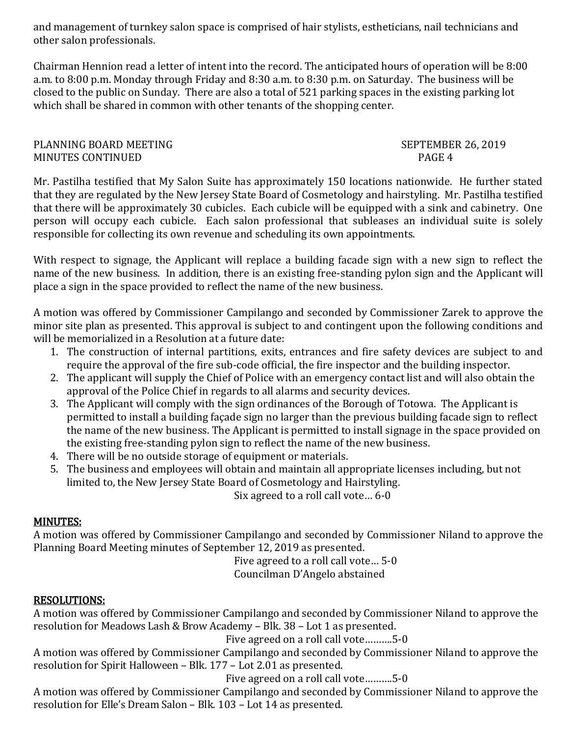and management of turnkey salon space is comprised of hair stylists, estheticians, nail technicians and other salon professionals.

Chairman Hennion read a letter of intent into the record. The anticipated hours of operation will be 8:00 a.m. to 8:00 p.m. Monday through Friday and 8:30 a.m. to 8:30 p.m. on Saturday. The business will be closed to the public on Sunday. There are also a total of 521 parking spaces in the existing parking lot which shall be shared in common with other tenants of the shopping center.

### PLANNING BOARD MEETING SEPTEMBER 26, 2019 MINUTES CONTINUED **PAGE 4**

Mr. Pastilha testified that My Salon Suite has approximately 150 locations nationwide. He further stated that they are regulated by the New Jersey State Board of Cosmetology and hairstyling. Mr. Pastilha testified that there will be approximately 30 cubicles. Each cubicle will be equipped with a sink and cabinetry. One person will occupy each cubicle. Each salon professional that subleases an individual suite is solely responsible for collecting its own revenue and scheduling its own appointments.

With respect to signage, the Applicant will replace a building facade sign with a new sign to reflect the name of the new business. In addition, there is an existing free-standing pylon sign and the Applicant will place a sign in the space provided to reflect the name of the new business.

A motion was offered by Commissioner Campilango and seconded by Commissioner Zarek to approve the minor site plan as presented. This approval is subject to and contingent upon the following conditions and will be memorialized in a Resolution at a future date:

- 1. The construction of internal partitions, exits, entrances and fire safety devices are subject to and require the approval of the fire sub-code official, the fire inspector and the building inspector.
- 2. The applicant will supply the Chief of Police with an emergency contact list and will also obtain the approval of the Police Chief in regards to all alarms and security devices.
- 3. The Applicant will comply with the sign ordinances of the Borough of Totowa. The Applicant is permitted to install a building façade sign no larger than the previous building facade sign to reflect the name of the new business. The Applicant is permitted to install signage in the space provided on the existing free-standing pylon sign to reflect the name of the new business.
- 4. There will be no outside storage of equipment or materials.
- 5. The business and employees will obtain and maintain all appropriate licenses including, but not limited to, the New Jersey State Board of Cosmetology and Hairstyling.

Six agreed to a roll call vote… 6-0

# MINUTES:

A motion was offered by Commissioner Campilango and seconded by Commissioner Niland to approve the Planning Board Meeting minutes of September 12, 2019 as presented.

Five agreed to a roll call vote… 5-0 Councilman D'Angelo abstained

# RESOLUTIONS:

A motion was offered by Commissioner Campilango and seconded by Commissioner Niland to approve the resolution for Meadows Lash & Brow Academy – Blk. 38 – Lot 1 as presented.

Five agreed on a roll call vote……….5-0

A motion was offered by Commissioner Campilango and seconded by Commissioner Niland to approve the resolution for Spirit Halloween – Blk. 177 – Lot 2.01 as presented.

Five agreed on a roll call vote……….5-0

A motion was offered by Commissioner Campilango and seconded by Commissioner Niland to approve the resolution for Elle's Dream Salon – Blk. 103 – Lot 14 as presented.